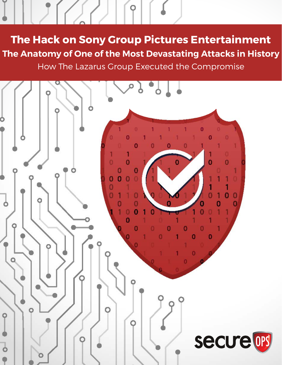The Hack on Sony Group Pictures Entertainment The Anatomy of One of the Most Devastating Attacks in History How The Lazarus Group Executed the Compromise

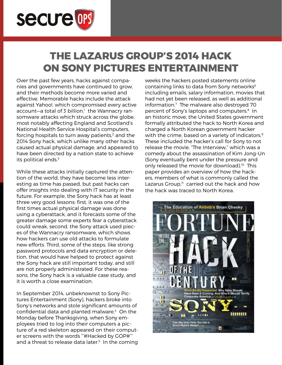

# THE LAZARUS GROUP'S 2014 HACK ON SONY PICTURES ENTERTAINMENT

Over the past few years, hacks against companies and governments have continued to grow, and their methods become more varied and effective. Memorable hacks include the attack against Yahoo!, which compromised every active account—a total of 3 billion,<sup>1</sup> the Wannacry ransomware attacks which struck across the globe, most notably affecting England and Scotland's National Health Service Hospital's computers, forcing hospitals to turn away patients, $2$  and the 2014 Sony hack, which unlike many other hacks caused actual physical damage, and appeared to have been directed by a nation state to achieve its political ends.<sup>3</sup>

While these attacks initially captured the attention of the world, they have become less interesting as time has passed, but past hacks can offer insights into dealing with IT security in the future. For example, the Sony hack has at least three very good lessons: first, it was one of the first times actual physical damage was done using a cyberattack, and it forecasts some of the greater damage some experts fear a cyberattack could wreak, second, the Sony attack used pieces of the Wannacry ransomware, which shows how hackers can use old attacks to formulate new efforts. Third, some of the steps, like strong password protocols and data encryption or deletion, that would have helped to protect against the Sony hack are still important today, and still are not properly administrated. For these reasons, the Sony hack is a valuable case study, and it is worth a close examination.

In September 2014, unbeknownst to Sony Pictures Entertainment (Sony), hackers broke into Sony's networks and stole significant amounts of confidential data and planted malware.<sup>4</sup> On the Monday before Thanksgiving, when Sony employees tried to log into their computers a picture of a red skeleton appeared on their computer screens with the words "#Hacked by GOP#" and a threat to release data later.<sup>5</sup> In the coming

weeks the hackers posted statements online containing links to data from Sony networks<sup>6</sup> including emails, salary information, movies that had not yet been released, as well as additional information.7 The malware also destroyed 70 percent of Sony's laptops and computers.8 In an historic move, the United States government formally attributed the hack to North Korea and charged a North Korean government hacker with the crime, based on a variety of indicators.<sup>9</sup> These included the hacker's call for Sony to not release the movie, "The Interview," which was a comedy about the assassination of Kim Jong-Un (Sony eventually bent under the pressure and only released the movie for download).<sup>10</sup> This paper provides an overview of how the hackers, members of what is commonly called the Lazarus Group, $\mathbb{I}^1$  carried out the hack and how the hack was traced to North Korea.

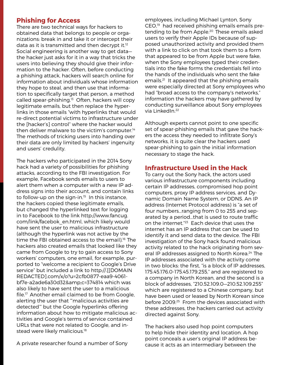#### Phishing for Access

There are two technical ways for hackers to obtained data that belongs to people or organizations: break in and take it or intercept their data as it is transmitted and then decrypt it.<sup>12</sup> Social engineering is another way to get data the hacker just asks for it in a way that tricks the users into believing they should give their information to the hacker. Often, before conducting a phishing attack, hackers will search online for information about individuals whose information they hope to steal, and then use that information to specifically target that person, a method called spear-phishing.13 Often, hackers will copy legitimate emails, but then replace the hyperlinks in those emails "with hyperlinks that would re-direct potential victims to infrastructure under the [hacker's] control" where the hacker would then deliver malware to the victim's computer.<sup>14</sup> The methods of tricking users into handing over their data are only limited by hackers' ingenuity and users' credulity.

The hackers who participated in the 2014 Sony hack had a variety of possibilities for phishing attacks, according to the FBI investigation. For example, Facebook sends emails to users to alert them when a computer with a new IP address signs into their account, and contain links to follow-up on the sign-in. $15$  In this instance, the hackers copied these legitimate emails, but changed the hyperlinked text for logging in to Facebook to the link http://www.fancug. com/link/facebok\_en.html, which likely would have sent the user to malicious infrastructure (although the hyperlink was not active by the time the FBI obtained access to the email).<sup>16</sup> The hackers also created emails that looked like they came from Google to try to gain access to Sony workers' computers, one email, for example, purported to "welcome a recipient to Google's Drive service" but included a link to http://.[[DOMAIN REDACTED].com/x/o?u=2cfb0877-eaa9-4061 bf7e-a2ade6a30d32&c=374814 which was also likely to have sent the user to a malicious file.17 Another email claimed to be from Google, alerting the user that "malicious activities are detected'" but the Google hyperlinks offering information about how to mitigate malicious activities and Google's terms of service contained URLs that were not related to Google, and instead were likely malicious.<sup>18</sup>

A private researcher found a number of Sony

employees, including Michael Lynton, Sony CEO,19 had received phishing emails emails pretending to be from Apple.20 These emails asked users to verify their Apple IDs because of supposed unauthorized activity and provided them with a link to click on that took them to a form that appeared to be from Apple but were fake, when the Sony employees typed their credentials into the fake forms the credentials fell into the hands of the individuals who sent the fake emails.21 It appeared that the phishing emails were especially directed at Sony employees who had "broad access to the company's networks," information the hackers may have gathered by conducting surveillance about Sony employees via LinkedIn.22

Although experts cannot point to one specific set of spear-phishing emails that gave the hackers the access they needed to infiltrate Sony's networks, it is quite clear the hackers used spear-phishing to gain the initial information necessary to stage the hack.

#### Infrastructure Used in the Hack

To carry out the Sony hack, the actors used various infrastructure components including certain IP addresses, compromised hop point computers, proxy IP address services, and Dynamic Domain Name System, or DDNS. An IP address (Internet Protocol address) is "a set of four numbers…ranging from 0 to 255 and separated by a period…that is used to route traffic on the internet."23 Each device that uses the internet has an IP address that can be used to identify it and send data to the device. The FBI investigation of the Sony hack found malicious activity related to the hack originating from several IP addresses assigned to North Korea.<sup>24</sup> The IP addresses associated with the activity come in two blocks: the first, "is a block of IP addresses, 175.45.176.0-175.45.179.255," and are registered to a company in North Korean, and the second is a block of addresses, "210.52.109.0—210.52.109.255" which are registered to a Chinese company, but have been used or leased by North Korean since before 2009.25 From the devices associated with these addresses, the hackers carried out activity directed against Sony.

The hackers also used hop point computers to help hide their identity and location. A hop point conceals a user's original IP address because it acts as an intermediary between the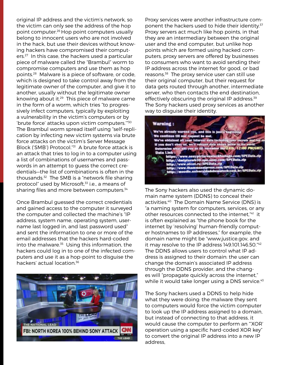original IP address and the victim's network, so the victim can only see the address of the hop point computer.26 Hop point computers usually belong to innocent users who are not involved in the hack, but use their devices without knowing hackers have compromised their computers.27 In this case, the hackers used a particular piece of malware called the "Brambul" worm to compromise computers and use them as hop points.28 Malware is a piece of software, or code, which is designed to take control away from the legitimate owner of the computer, and give it to another, usually without the legitimate owner knowing about it.<sup>29</sup> This piece of malware came in the form of a worm, which tries "to progressively infect computers, typically by exploiting a vulnerability in the victim's computers or by 'brute force' attacks upon victim computers.'"30 The Brambul worm spread itself using "self-replication by infecting new victim systems via brute force attacks on the victim's Server Message Block ('SMB') Protocol."31 A brute force attack is an attack that tries to log in to a computer using a list of combinations of usernames and passwords in an attempt to guess the correct credentials—the list of combinations is often in the thousands.32 The SMB is a "network file sharing protocol" used by Microsoft,<sup>33</sup> i.e., a means of sharing files and more between computers.<sup>34</sup>

Once Brambul guessed the correct credentials and gained access to the computer it surveyed the computer and collected the machine's "IP address, system name, operating system, username last logged in, and last password used" and sent the information to one or more of the email addresses that the hackers hard-coded into the malware.<sup>35</sup> Using this information, the hackers could log in to one of the infected computers and use it as a hop-point to disguise the hackers' actual location.36



Proxy services were another infrastructure component the hackers used to hide their identity.<sup>37</sup> Proxy servers act much like hop points, in that they are an intermediary between the original user and the end computer, but unlike hop points which are formed using hacked computers, proxy servers are offered by businesses to consumers who want to avoid sending their IP address across the internet for good, or bad reasons.38 The proxy service user can still use their original computer, but their request for data gets routed through another, intermediate server, who then contacts the end destination, effectively obscuring the original IP address.<sup>39</sup> The Sony hackers used proxy services as another way to disguise their identity.



The Sony hackers also used the dynamic domain name system (DDNS) to conceal their activities.40 The Domain Name Service (DNS) is "a naming system for computers, services, or any other resources connected to the internet,"41 it is often explained as "the phone book for the internet by 'resolving' human-friendly computer hostnames to IP addresses," for example, the domain name might be "www.justice.gov, and it may resolve to the IP address 149.101.146.50."42 The DDNS allows users to control what IP address is assigned to their domain: the user can change the domain's associated IP address through the DDNS provider, and the changes will "propagate quickly across the internet," while it would take longer using a DNS service.<sup>43</sup>

The Sony hackers used a DDNS to help hide what they were doing: the malware they sent to computers would force the victim computer to look up the IP address assigned to a domain, but instead of connecting to that address, it would cause the computer to perform an "'XOR' operation using a specific hard-coded XOR key" to convert the original IP address into a new IP address,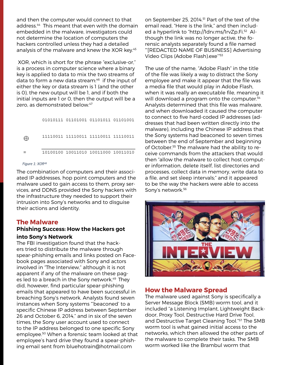and then the computer would connect to that address.<sup>44</sup> This meant that even with the domain embedded in the malware, investigators could not determine the location of computers the hackers controlled unless they had a detailed analysis of the malware and knew the XOR key.<sup>45</sup>

 XOR, which is short for the phrase "exclusive-or," is a process in computer science where a binary key is applied to data to mix the two streams of data to form a new data stream:<sup>46</sup> if the input of either the key or data stream is 1 (and the other is 0), the new output will be 1, and if both the initial inputs are 1 or 0, then the output will be a zero, as demonstrated below.<sup>47</sup>

01010111 01101001 01101011 01101001 11110011 11110011 11110011 11110011 ⊕ 10100100 10011010 10011000 10011010  $=$ 

#### Figure 1: XOR<sup>48</sup>

The combination of computers and their associated IP addresses, hop point computers and the malware used to gain access to them, proxy services, and DDNS provided the Sony hackers with the infrastructure they needed to support their intrusion into Sony's networks and to disguise their actions and identity.

#### The Malware

#### Phishing Success: How the Hackers got into Sony's Network

The FBI investigation found that the hackers tried to distribute the malware through spear-phishing emails and links posted on Facebook pages associated with Sony and actors involved in "The Interview," although it is not apparent if any of the malware on these pages led to a breach in the Sony network.<sup>49</sup> They did, however, find particular spear-phishing emails that appeared to have been successful in breaching Sony's network. Analysts found seven instances when Sony systems "'beaconed' to a specific Chinese IP address between September 26 and October 6, 2014," and in six of the seven times, the Sony user account used to connect to the IP address belonged to one specific Sony employee.50 When a forensic team looked at that employee's hard drive they found a spear-phishing email sent from bluehotrain@hotmail.com

on September 25, 2014.<sup>51</sup> Part of the text of the email read, "Here is the link," and then included a hyperlink to "http://ldrv.ms/lrvZp.Fi.<sup>52</sup> Although the link was no longer active, the forensic analysts separately found a file named "'[REDACTED NAME OF BUSINESS] Advertising Video Clips (Adobe Flash).exe'"53

The use of the name, "Adobe Flash" in the title of the file was likely a way to distract the Sony employee and make it appear that the file was a media file that would play in Adobe Flash, when it was really an executable file, meaning it will download a program onto the computer.<sup>54</sup> Analysts determined that this file was malware, and when downloaded it caused the computer to connect to five hard-coded IP addresses (addresses that had been written directly into the malware), including the Chinese IP address that the Sony systems had beaconed to seven times between the end of September and beginning of October.55 The malware had the ability to receive commands from the attackers that would then "allow the malware to collect host computer information, delete itself, list directories and processes, collect data in memory, write data to a file, and set sleep intervals;" and it appeared to be the way the hackers were able to access Sony's network.<sup>56</sup>



#### How the Malware Spread

The malware used against Sony is specifically a Server Message Block (SMB) worm tool, and it included "a Listening Implant, Lightweight Backdoor, Proxy Tool, Destructive Hard Drive Tool, and Destructive Target Cleaning Tool."57 The SMB worm tool is what gained initial access to the networks, which then allowed the other parts of the malware to complete their tasks. The SMB worm worked like the Brambul worm that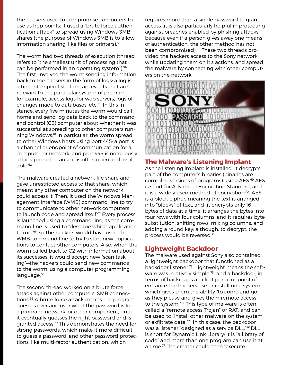the hackers used to compromise computers to use as hop points: it used a "brute force authentication attack" to spread using Windows SMB shares (the purpose of Windows SMB is to allow information sharing, like files or printers).<sup>58</sup>

The worm had two threads of execution (thread refers to "the smallest unit of processing that can be performed in an operating system").<sup>59</sup> The first, involved the worm sending information back to the hackers in the form of logs: a log is a time-stamped list of certain events that are relevant to the particular system of program, for example, access logs for web servers, logs of changes made to databases, etc.<sup>60</sup> In this instance, every five minutes the worm would call home and send log data back to the command and control (C2) computer about whether it was successful at spreading to other computers running Windows.<sup>61</sup> In particular, the worm spread to other Windows hosts using port 445: a port is a channel or endpoint of communication for a computer or network, and port 445 is notoriously attack-prone because it is often open and available.62

The malware created a network file share and gave unrestricted access to that share, which meant any other computer on the network could access it. Then, it used the Windows Management Interface (WMB) command line to try to communicate to other network computers to launch code and spread itself.<sup>63</sup> Every process is launched using a command line, as the command line is used to "describe which application to run,"64 so the hackers would have used the WMB command line to try to start new applications to contact other computers. Also, when the worm called back to C2 with information about its successes, it would accept new "scan tasking"—the hackers could send new commands to the worm, using a computer programming language.<sup>65</sup>

The second thread worked on a brute force attack against other computers' SMB connections.<sup>66</sup> A brute force attack means the program guesses over and over what the password is for a program, network, or other component, until it eventually guesses the right password and is granted access.<sup>67</sup> This demonstrates the need for strong passwords, which make it more difficult to guess a password, and other password protections, like multi-factor authentication, which

requires more than a single password to grant access (it is also particularly helpful in protecting against breaches enabled by phishing attacks, because even if a person gives away one means of authentication, the other method has not been compromised).<sup>68</sup> These two threads provided the hackers access to the Sony network while updating them on it's actions, and spread the malware by connecting with other computers on the network.



#### The Malware's Listening Implant

As the listening implant is installed, it decrypts part of the computer's binaries (binaries are compiled versions of programs) using AES.69 AES is short for Advanced Encryption Standard, and it is a widely used method of encryption $70$  AES is a block cipher, meaning the text is arranged into "blocks" of text, and it encrypts only 16 bytes of data at a time: it arranges the bytes into four rows with four columns, and it requires byte substitution, shifting rows, mixing columns, and adding a round key; although, to decrypt, the process would be reversed.<sup>71</sup>

#### Lightweight Backdoor

The malware used against Sony also contained a lightweight backdoor that functioned as a backdoor listener.<sup>72</sup> Lightweight means the software was relatively simple, $73$  and a backdoor, in terms of hacking, is an illicit portal or point of entrance the hackers use or install on a system which gives them the ability "to come and go as they please and gives them remote access to the system."74 This type of malware is often called a "remote access Trojan" or RAT, and can be used to "install other malware on the system or exfiltrate data."75 In this case, the backdoor was a listener "designed as a service DLL."76 DLL is short for Dynamic Link Library; it is "a library of code" and more than one program can use it at a time.77 The creator could then "execute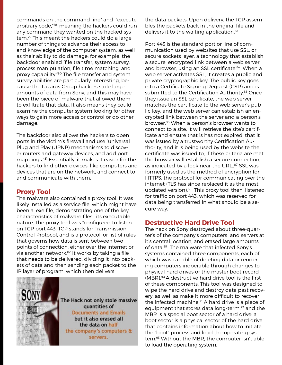commands on the command line" and "execute arbitrary code,"78 meaning the hackers could run any command they wanted on the hacked system.79 This meant the hackers could do a large number of things to advance their access to and knowledge of the computer system, as well as their ability to do damage; for example, the backdoor enabled "file transfer, system survey, process manipulation, file time matching, and proxy capability."80 The file transfer and system survey abilities are particularly interesting, because the Lazarus Group hackers stole large amounts of data from Sony, and this may have been the piece of malware that allowed them to exfiltrate that data. It also means they could examine the computer system looking for other ways to gain more access or control or do other damage.

The backdoor also allows the hackers to open ports in the victim's firewall and use "universal Plug and Play (UPNP) mechanisms to discover routers and gateway devices, and add port mappings."81 Essentially, it makes it easier for the hackers to find other devices, like computers and devices that are on the network, and connect to and communicate with them.

#### Proxy Tool

The malware also contained a proxy tool. It was likely installed as a service file, which might have been a .exe file, demonstrating one of the key characteristics of malware files—its executable nature. The proxy tool was "configured to listen on TCP port 443. TCP stands for Transmission Control Protocol, and is a protocol, or list of rules that governs how data is sent between two points of connection, either over the internet or via another network.<sup>82</sup> It works by taking a file that needs to be delivered, dividing it into packets of data and then sending each packet to the IP layer of program, which then delivers



The Hack not only stole massive quantities of **Documents and Emails** but it also erased all the data on half the company's computers & servers.

the data packets. Upon delivery, the TCP assembles the packets back in the original file and delivers it to the waiting application.<sup>83</sup>

Port 443 is the standard port or line of communication used by websites that use SSL, or secure sockets layer, a technology that establish a secure, encrypted link between a web server and browser, using an SSL certificate.<sup>84</sup> When a web server activates SSL, it creates a public and private cryptographic key. The public key goes into a Certificate Signing Request (CSR) and is submitted to the Certification Authority.<sup>85</sup> Once they issue an SSL certificate, the web server matches the certificate to the web server's public key, and the web server can establish an encrypted link between the server and a person's browser.86 When a person's browser wants to connect to a site, it will retrieve the site's certificate and ensure that is has not expired, that it was issued by a trustworthy Certification Authority, and it is being used by the website the certificate was issued to, if these criteria are met, the browser will establish a secure connection, as indicated by a lock near the URL..<sup>87</sup> SSL was formerly used as the method of encryption for HTTPS, the protocol for communicating over the internet (TLS has since replaced it as the most updated version).<sup>88</sup> This proxy tool then, listened for traffic on port 443, which was reserved for data being transferred in what should be a secure way.

#### Destructive Hard Drive Tool

The hack on Sony destroyed about three-quarter's of the company's computers and servers at it's central location, and erased large amounts of data.<sup>89</sup> The malware that infected Sony's systems contained three components, each of which was capable of deleting data or rendering computers inoperable through changes to physical hard drives or the master boot record (MBR).90 A destructive hard drive tool is the first of these components. This tool was designed to wipe the hard drive and destroy data past recovery, as well as make it more difficult to recover the infected machine.<sup>91</sup> A hard drive is a piece of equipment that stores data long-term,<sup>92</sup> and the MBR is a special boot sector of a hard drive: a boot sector is a physical sector of the hard drive that contains information about how to initiate the "boot" process and load the operating system.93 Without the MBR, the computer isn't able to load the operating system.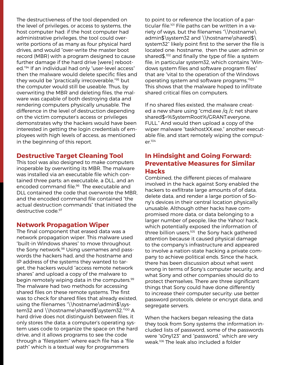The destructiveness of the tool depended on the level of privileges, or access to systems, the host computer had: if the host computer had administrative privileges, the tool could overwrite portions of as many as four physical hard drives, and would "over-write the master boot record (MBR) with a program designed to cause further damage if the hard drive [were] rebooted."94 If an individual had only "user-level access" then the malware would delete specific files and they would be "practically irrecoverable,"95 but the computer would still be useable. Thus, by overwriting the MBR and deleting files, the malware was capable of both destroying data and rendering computers physically unusable. The difference in the level of destruction depending on the victim computer's access or privileges demonstrates why the hackers would have been interested in getting the login credentials of employees with high levels of access, as mentioned in the beginning of this report.

#### Destructive Target Cleaning Tool

This tool was also designed to make computers inoperable by overwriting its MBR. The malware was installed via an executable file which contained three parts: an executable, a DLL, and an encoded command file.<sup>96</sup> The executable and DLL contained the code that overwrote the MBR, and the encoded command file contained "the actual destruction commands" that initiated the destructive code.<sup>97</sup>

#### Network Propagation Wiper

The final component that erased data was a network propagation wiper. This malware used "built-in Windows shares" to move throughout the Sony network.98 Using usernames and passwords the hackers had, and the hostname and IP address of the systems they wanted to target, the hackers would "access remote network shares" and upload a copy of the malware to begin remotely wiping data in the computers.<sup>99</sup> The malware had two methods for accessing shared files on these remote systems. The first was to check for shared files that already existed, using the filenames "\\hostname\admin\$\system32 and \\hostname\shared\$\system32."100 A hard drive does not distinguish between files, it only stores the data; a computer's operating system uses code to organize the space on the hard drive, and it allows programs to see the code through a "filesystem" where each file has a "file path" which is a textual way for programmers

to point to or reference the location of a particular file.<sup>101</sup> File paths can be written in a variety of ways, but the filenames "\\hostname\ admin\$\system32 and \\hostname\shared\$\ system32" likely point first to the server the file is located one: hostname, then the user: admin or shared\$,<sup>102</sup> and finally the type of file: a system file, in particular system32, which contains "Windows system files and software program files" that are "vital to the operation of the Windows operating system and software programs."103 This shows that the malware hoped to infiltrate shared critical files on computers.

If no shared files existed, the malware created a new share using "cmd.exe /q /c net share shared\$=%SystemRoot%/GRANT:everyone, FULL." And would then upload a copy of the wiper malware "taskhostXX.exe," another executable file, and start remotely wiping the computer.104

### In Hindsight and Going Forward: Preventative Measures for Similar **Hacks**

Combined, the different pieces of malware involved in the hack against Sony enabled the hackers to exfiltrate large amounts of of data, delete data, and render a large portion of Sony's devices in their central location physically unusable. Although other hacks have compromised more data, or data belonging to a larger number of people, like the Yahoo! hack, which potentially exposed the information of three billion users,<sup>105</sup> the Sony hack gathered attention because it caused physical damage to the company's infrastructure and appeared to involve a nation-state hacking a private company to achieve political ends. Since the hack, there has been discussion about what went wrong in terms of Sony's computer security, and what Sony and other companies should do to protect themselves. There are three significant things that Sony could have done differently to increase their computer security: use better password protocols, delete or encrypt data, and segregate servers.

When the hackers began releasing the data they took from Sony systems the information included lists of password, some of the passwords were "s0ny123" and "password," which are very weak.106 The leak also included a folder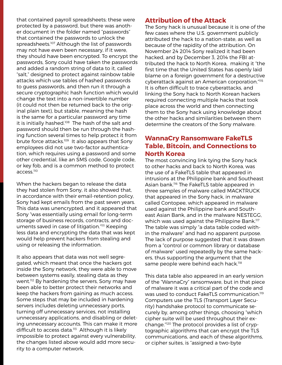that contained payroll spreadsheets; these were protected by a password, but there was another document in the folder named "passwords" that contained the passwords to unlock the spreadsheets.<sup>107</sup> Although the list of passwords may not have even been necessary, if it were, they should have been encrypted. To encrypt the passwords, Sony could have taken the passwords and added a random string of data to it, called "salt," designed to protect against rainbow table attacks which use tables of hashed passwords to guess passwords, and then run it through a secure cryptographic hash function which would change the text into a non-invertible number (it could not then be returned back to the original plain text), but stable, meaning the hash is the same for a particular password any time it is initially hashed.<sup>108</sup> The hash of the salt and password should then be run through the hashing function several times to help protect it from brute force attacks.<sup>109</sup> It also appears that Sony employees did not use two-factor authentication, which requires using a password and some other credential, like an SMS code, Google code, or key fob, and is a common method to protect access.110

When the hackers began to release the data they had stolen from Sony, it also showed that, in accordance with their email-retention policy, Sony had kept emails from the past seven years. This data was unencrypted, and it appeared that Sony "was essentially using email for long-term storage of business records, contracts, and documents saved in case of litigation."111 Keeping less data and encrypting the data that was kept would help prevent hackers from stealing and using or releasing the information.

It also appears that data was not well segregated, which meant that once the hackers got inside the Sony network, they were able to move between systems easily, stealing data as they went.<sup>112</sup> By hardening the servers, Sony may have been able to better protect their networks and keep the hackers from gaining as much access. Some steps that may be included in hardening servers includes deleting unnecessary ports, turning off unnecessary services, not installing unnecessary applications, and disabling or deleting unnecessary accounts. This can make it more difficult to access data.<sup>113</sup> Although it is likely impossible to protect against every vulnerability, the changes listed above would add more security to a computer network.

#### Attribution of the Attack

The Sony hack is unusual because it is one of the few cases where the U.S. government publicly attributed the hack to a nation-state, as well as because of the rapidity of the attribution. On November 24 2014 Sony realized it had been hacked, and by December 3, 2014 the FBI attributed the hack to North Korea, making it "the first time that the United States has openly laid blame on a foreign government for a destructive cyberattack against an American corporation."115 It is often difficult to trace cyberattacks, and linking the Sony hack to North Korean hackers required connecting multiple hacks that took place across the world and then connecting them to the Sony hack using knowledge about the other hacks and similarities between them determine the creators of the Sony malware.

#### WannaCry Ransomware FakeTLS Table, Bitcoin, and Connections to North Korea

The most convincing link tying the Sony hack to other hacks and back to North Korea, was the use of a FakeTLS table that appeared in intrusions at the Philippine bank and Southeast Asian bank.<sup>116</sup> The FakeTLS table appeared in three samples of malware called MACKTRUCK that appeared in the Sony hack, in malware called Contopee, which appeared in malware used against the Philippine bank and Southeast Asian Bank, and in the malware NESTEGG, which was used against the Philippine Bank.<sup>117</sup> The table was simply "a data table coded within the malware" and had no apparent purpose. The lack of purpose suggested that it was drawn from a "control or common library or database of malware" used repeatedly by the same hackers, thus supporting the argument that the same people were behind each hack.<sup>118</sup>

This data table also appeared in an early version of the "WannaCry" ransomware, but in that piece of malware it was a critical part of the code and was used to conduct FakeTLS communication.<sup>119</sup> Computers use the TLS (Transport Layer Security) handshake protocol to communicate securely by, among other things, choosing "which cipher suite will be used throughout their exchange."120 The protocol provides a list of cryptographic algorithms that can encrypt the TLS communications, and each of these algorithms, or cipher suites, is "assigned a two-byte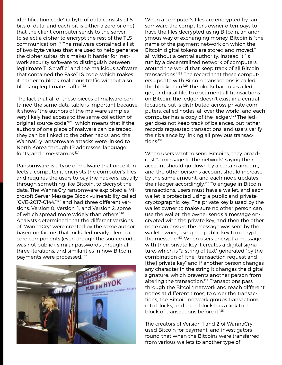identification code" (a byte of data consists of 8 bits of data, and each bit is either a zero or one) that the client computer sends to the server, to select a cipher to encrypt the rest of the TLS communication.121 The malware contained a list of two-byte values that are used to help generate the cipher suites, this makes it harder for "network security software to distinguish between legitimate TLS traffic" and the malicious software that contained the FakeTLS code, which makes it harder to block malicious traffic without also blocking legitimate traffic.<sup>122</sup>

The fact that all of these pieces of malware contained the same data table is important because it shows "the authors of the malware samples very likely had access to the same collection of original source code"123 which means that if the authors of one piece of malware can be traced, they can be linked to the other hacks, and the WannaCry ransomware attacks were linked to North Korea through IP addresses, language fonts, and time-stamps.124

Ransomware is a type of malware that once it infects a computer it encrypts the computer's files and requires the users to pay the hackers, usually through something like Bitcoin, to decrypt the data. The WannaCry ransomware exploited a Microsoft Server Message Block vulnerability called "CVE-2017-0144,"125 and had three different versions, Version 0, Version, 1, and Version 2, some of which spread more widely than others.<sup>126</sup> Analysts determined that the different versions of "WannaCry" were created by the same author, based on factors that included nearly identical core components (even though the source code was not public), similar passwords through all three iterations, and similarities in how Bitcoin payments were processed.<sup>127</sup>



When a computer's files are encrypted by ransomware the computer's owner often pays to have the files decrypted using Bitcoin, an anonymous way of exchanging money. Bitcoin is "the name of the payment network on which the Bitcoin digital tokens are stored and moved," all without a central authority, instead it "is run by a decentralized network of computers around the world that keep track of all Bitcoin transactions."128 The record that these computers update with Bitcoin transactions is called the blockchain.129 The blockchain uses a ledger, or digital file, to document all transactions on Bitcoin; the ledger doesn't exist in a central location, but is distributed across private computers, called nodes, all over the world, and each computer has a copy of the ledger.<sup>130</sup> The ledger does not keep track of balances, but rather, records requested transactions, and users verify their balance by linking all previous transactions.131

When users want to send Bitcoins, they broadcast "a message to the network" saying their account should go down by a certain amount, and the other person's account should increase by the same amount, and each node updates their ledger accordingly.132 To engage in Bitcoin transactions, users must have a wallet, and each wallet is protected using a public and private cryptographic key. The private key is used by the wallet owner to make sure no other person can use the wallet: the owner sends a message encrypted with the private key, and then the other node can ensure the message was sent by the wallet owner, using the public key to decrypt the message.<sup>133</sup> When users encrypt a message with their private key it creates a digital signature, which is "a string of text" generated "by the combination of [the] transaction request and [the] private key" and if another person changes any character in the string it changes the digital signature, which prevents another person from altering the transaction.<sup>134</sup> Transactions pass through the Bitcoin network and reach different nodes at different times, to order the transactions, the Bitcoin network groups transactions into blocks, and each block has a link to the block of transactions before it.<sup>135</sup>

The creators of Version 1 and 2 of WannaCry used Bitcoin for payment, and investigators found that when the Bitcoins were transferred from various wallets to another type of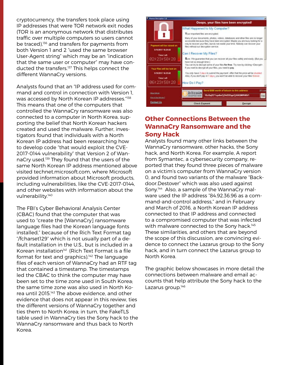cryptocurrency, the transfers took place using IP addresses that were TOR network exit nodes (TOR is an anonymous network that distributes traffic over multiple computers so users cannot be traced),<sup>136</sup> and transfers for payments from both Version 1 and 2 "used the same browser User-Agent string" which may be an "indication that the same user or computer" may have conducted the transfers.<sup>137</sup> This helps connect the different WannaCry versions.

Analysts found that an "IP address used for command and control in connection with Version 1, was accessed by North Korean IP addresses."138 This means that one of the computers that controlled the WannaCry ransomware was also connected to a computer in North Korea, supporting the belief that North Korean hackers created and used the malware. Further, investigators found that individuals with a North Korean IP address had been researching how to develop code "that would exploit the CVE-2017-0144 vulnerability" that Version 2 of WannaCry used.139 They found that the users of the same North Korean IP address mentioned above visited technet.microsoft.com, where Microsoft provided information about Microsoft products, including vulnerabilities, like the CVE-2017-0144, and other websites with information about the vulnerability.<sup>140</sup>

The FBI's Cyber Behavioral Analysis Center (CBAC) found that the computer that was used to "create the [WannaCry] ransomware language files had the Korean language fonts installed," because of the Rich Text Format tag "/fcharset129" which is not usually part of a default installation in the U.S., but is included in a Korean installation<sup>141</sup> (Rich Text Format is a file format for text and graphics).<sup>142</sup> The language files of each version of WannaCry had an RTF tag that contained a timestamp. The timestamps led the CBAC to think the computer may have been set to the time zone used in South Korea; the same time zone was also used in North Korea until 2015.143 The above evidence, and other evidence that does not appear in this review, ties the different versions of WannaCry together and ties them to North Korea; in turn, the FakeTLS table used in WannaCry ties the Sony hack to the WannaCry ransomware and thus back to North Korea.



### Other Connections Between the WannaCry Ransomware and the Sony Hack

Analysts found many other links between the WannaCry ransomware, other hacks, the Sony hack, and North Korea. For example, A report from Symantec, a cybersecurity company, reported that they found three pieces of malware on a victim's computer from WannaCry version 0, and found two variants of the malware "Backdoor.Destover" which was also used against Sony.144 Also, a sample of the WannaCry malware used the IP address "84.92.36.96 as a command-and-control address," and in February and March of 2016, a North Korean IP address connected to that IP address and connected to a compromised computer that was infected with malware connected to the Sony hack.<sup>145</sup> These similarities, and others that are beyond the scope of this discussion, are convincing evidence to connect the Lazarus group to the Sony hack, and in turn connect the Lazarus group to North Korea.

The graphic below showcases in more detail the connections between malware and email accounts that help attribute the Sony hack to the Lazarus group.<sup>146</sup>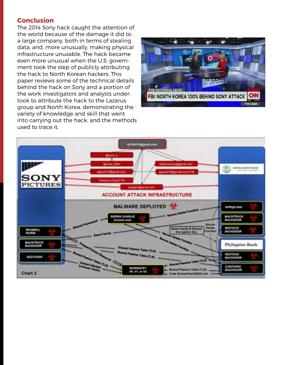#### **Conclusion**

The 2014 Sony hack caught the attention of the world because of the damage it did to a large company, both in terms of stealing data, and, more unusually, making physical infrastructure unusable. The hack became even more unusual when the U.S. government took the step of publicly attributing the hack to North Korean hackers. This paper reviews some of the technical details behind the hack on Sony and a portion of the work investigators and analysts undertook to attribute the hack to the Lazarus group and North Korea, demonstrating the variety of knowledge and skill that went into carrying out the hack, and the methods used to trace it.



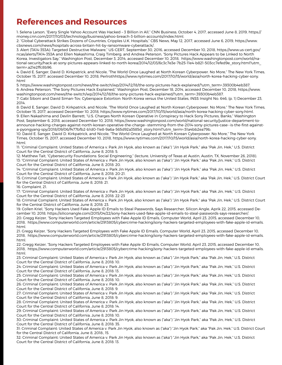## References and Resources

1: Selena Larson, "Every Single Yahoo Account Was Hacked – 3 Billion in All," CNN Business, October 4, 2017, accessed June 8, 2019, https:// money.cnn.com/2017/10/03/technology/business/yahoo-breach-3-billion-accounts/index.html.

2: "Global Cyberattack Strikes Dozens of Countries, Cripples U.K. Hospitals," CBS News, May 12, 2017, accessed June 6, 2019, https://www. cbsnews.com/news/hospitals-across-britain-hit-by-ransomware-cyberattack/.

3: Alert (TA14-353A): Targeted Destructive Malware," US-CERT, September 30, 2016, accessed December 10, 2018, https://www.us-cert.gov/ ncas/alerts/TA14-353A and Ellen Nakashima, Craig Timberg, and Andrea Peterson, "Sony Pictures Hack Appears to be Linked to North Korea, Investigators Say," Washington Post, December 3, 2014, accessed December 10, 2018, https://www.washingtonpost.com/world/national-security/hack-at-sony-pictures-appears-linked-to-north-korea/2014/12/03/6c3c7e3e-7b25-11e4-b821-503cc7efed9e\_story.html?utm\_ term=.a21e2ffc8b96

4: David E. Sanger, David D. Kirkpatrick, and Nicole, "The World Once Laughed at North Korean Cyberpower. No More," The New York Times, October 15, 2017, accessed December 10, 2018, Perlrothhttps://www.nytimes.com/2017/10/15/world/asia/north-korea-hacking-cyber-sony. html

5: https://www.washingtonpost.com/news/the-switch/wp/2014/12/18/the-sony-pictures-hack-explained/?utm\_term=.39300b4eb387. 6: Andrea Peterson, "The Sony Pictures Hack Explained," Washington Post, December 18, 2014, accessed December 10, 2018, https://www. washingtonpost.com/news/the-switch/wp/2014/12/18/the-sony-pictures-hack-explained/?utm\_term=.39300b4eb387.

7: Gabi Siboni and David Siman-Tov, Cyberspace Extortion: North Korea versus the United States, INSS Insight No. 646, (p. 1) December 23, 2014.

8: David E. Sanger, David D. Kirkpatrick, and Nicole, "The World Once Laughed at North Korean Cyberpower. No More," The New York Times, October 15, 2017, accessed December 10, 2018, https://www.nytimes.com/2017/10/15/world/asia/north-korea-hacking-cyber-sony.html. 9: Ellen Nakashima and Devlin Barrett, "U.S. Charges North Korean Operative in Conspiracy to Hack Sony Pictures, Banks," Washington Post, September 6, 2018, accessed December 10, 2018, https://www.washingtonpost.com/world/national-security/justice-department-toannounce-hacking-charges-against-north-korean-operative-the-charge--stemming-from-the-2014-sony-pictures-case--is-the-first-againsta-pyongyang-spy/2018/09/06/f477bfb2-b1d0-11e8-9a6a-565d92a3585d\_story.html?utm\_term=.51a4bb2ea79b.

10: David E. Sanger, David D. Kirkpatrick, and Nicole, "The World Once Laughed at North Korean Cyberpower. No More," The New York Times, October 15, 2017, accessed December 10, 2018, https://www.nytimes.com/2017/10/15/world/asia/north-korea-hacking-cyber-sony. html.

11: "Criminal Complaint: United States of America v. Park Jin Hyok, also known as ("aka") "Jin Hyok Park," aka "Pak Jin, Hek," U.S. District Court for the Central District of California, June 8, 2018: 5.

12: Matthew Tait, "Cybersecurity Foundations: Social Engineering," (lecture, University of Texas at Austin, Austin, TX, November 26, 2018). 13: "Criminal Complaint: United States of America v. Park Jin Hyok, also known as ("aka") "Jin Hyok Park," aka "Pak Jin, Hek," U.S. District Court for the Central District of California, June 8, 2018: 20.

14: "Criminal Complaint: United States of America v. Park Jin Hyok, also known as ("aka") "Jin Hyok Park," aka "Pak Jin, Hek," U.S. District Court for the Central District of California, June 8, 2018: 20-21.

15: Criminal Complaint: United States of America v. Park Jin Hyok, also known as ("aka") "Jin Hyok Park," aka "Pak Jin, Hek," U.S. District Court for the Central District of California, June 8, 2018: 21.

16: Complaint, 21.

17: "Criminal Complaint: United States of America v. Park Jin Hyok, also known as ("aka") "Jin Hyok Park," aka "Pak Jin, Hek," U.S. District Court for the Central District of California, June 8, 2018: 22-23

18: Criminal Complaint: United States of America v. Park Jin Hyok, also known as ("aka") "Jin Hyok Park," aka "Pak Jin, Hek," U.S. District Court for the Central District of California, June 8, 2018: 23.

19: Collen Kriel, "Sony Hackers Used Fake Apple ID Emails to Steal Passwords, Says Researcher, Silicon Angle, Aprik 22, 2015, accessed December 10, 2018, https://siliconangle.com/2015/04/22/sony-hackers-used-fake-apple-id-emails-to-steal-passwords-says-researcher/. 20: Gregg Keizer, "Sony Hackers Targeted Employees with Fake Apple ID Emails, Computer World, April 23, 2015, accessed December 10, 2018, https://www.computerworld.com/article/2913805/cybercrime-hacking/sony-hackers-targeted-employees-with-fake-apple-id-emails. html.

21: Gregg Keizer, "Sony Hackers Targeted Employees with Fake Apple ID Emails, Computer World, April 23, 2015, accessed December 10, 2018, https://www.computerworld.com/article/2913805/cybercrime-hacking/sony-hackers-targeted-employees-with-fake-apple-id-emails. html.

22: Gregg Keizer, "Sony Hackers Targeted Employees with Fake Apple ID Emails, Computer World, April 23, 2015, accessed December 10, 2018, https://www.computerworld.com/article/2913805/cybercrime-hacking/sony-hackers-targeted-employees-with-fake-apple-id-emails. html.

23: Criminal Complaint: United States of America v. Park Jin Hyok, also known as ("aka") "Jin Hyok Park," aka "Pak Jin, Hek," U.S. District Court for the Central District of California, June 8, 2018: 10.

24: Criminal Complaint: United States of America v. Park Jin Hyok, also known as ("aka") "Jin Hyok Park," aka "Pak Jin, Hek," U.S. District Court for the Central District of California, June 8, 2018: 13.

25: Criminal Complaint: United States of America v. Park Jin Hyok, also known as ("aka") "Jin Hyok Park," aka "Pak Jin, Hek," U.S. District Court for the Central District of California, June 8, 2018: 10.

26: Criminal Complaint: United States of America v. Park Jin Hyok, also known as ("aka") "Jin Hyok Park," aka "Pak Jin, Hek," U.S. District Court for the Central District of California, June 8, 2018: 9.

27: Criminal Complaint: United States of America v. Park Jin Hyok, also known as ("aka") "Jin Hyok Park," aka "Pak Jin, Hek," U.S. District Court for the Central District of California, June 8, 2018: 9.

28: Criminal Complaint: United States of America v. Park Jin Hyok, also known as ("aka") "Jin Hyok Park," aka "Pak Jin, Hek," U.S. District Court for the Central District of California, June 8, 2018: 14.

29: Criminal Complaint: United States of America v. Park Jin Hyok, also known as ("aka") "Jin Hyok Park," aka "Pak Jin, Hek," U.S. District Court for the Central District of California, June 8, 2018: 10.

30: Criminal Complaint: United States of America v. Park Jin Hyok, also known as ("aka") "Jin Hyok Park," aka "Pak Jin, Hek," U.S. District Court for the Central District of California, June 8, 2018: 35.

31: Criminal Complaint: United States of America v. Park Jin Hyok, also known as ("aka") "Jin Hyok Park," aka "Pak Jin, Hek," U.S. District Court for the Central District of California, June 8, 2018:, 15.

32: Criminal Complaint: United States of America v. Park Jin Hyok, also known as ("aka") "Jin Hyok Park," aka "Pak Jin, Hek," U.S. District Court for the Central District of California, June 8, 2018: 13.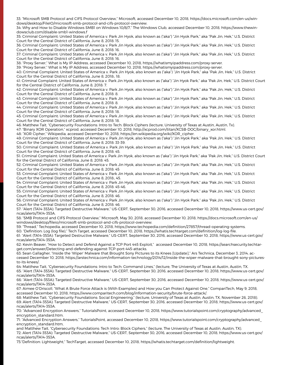33: "Microsoft SMB Protocol and CIFS Protocol Overview," Microsoft, accessed December 10, 2018, https://docs.microsoft.com/en-us/windows/desktop/FileIO/microsoft-smb-protocol-and-cifs-protocol-overview.

34: Why and How to Disable Windows SMB1 on Windows 10/8/7," The Windows Club, accessed December 10, 2018, https://www.thewindowsclub.com/disable-smb1-windows.f

35: Criminal Complaint: United States of America v. Park Jin Hyok, also known as ("aka") "Jin Hyok Park," aka "Pak Jin, Hek," U.S. District Court for the Central District of California, June 8, 2018: 15.

36: Criminal Complaint: United States of America v. Park Jin Hyok, also known as ("aka") "Jin Hyok Park," aka "Pak Jin, Hek," U.S. District Court for the Central District of California, June 8, 2018: 16.

37: Criminal Complaint: United States of America v. Park Jin Hyok, also known as ("aka") "Jin Hyok Park," aka "Pak Jin, Hek," U.S. District Court for the Central District of California, June 8, 2018: 16.

38: "Proxy Server," What is My IP Address, accessed December 10, 2018, https://whatismyipaddress.com/proxy-server.

39: "Proxy Server," What is My IP Address, accessed December 10, 2018, https://whatismyipaddress.com/proxy-server.

40: Criminal Complaint: United States of America v. Park Jin Hyok, also known as ("aka") "Jin Hyok Park," aka "Pak Jin, Hek," U.S. District Court for the Central District of California, June 8, 2018:, 18.

41: Criminal Complaint: United States of America v. Park Jin Hyok, also known as ("aka") "Jin Hyok Park," aka "Pak Jin, Hek," U.S. District Court for the Central District of California, June 8, 2018: 7.

42: Criminal Complaint: United States of America v. Park Jin Hyok, also known as ("aka") "Jin Hyok Park," aka "Pak Jin, Hek," U.S. District Court for the Central District of California, June 8, 2018: 8.

43: Criminal Complaint: United States of America v. Park Jin Hyok, also known as ("aka") "Jin Hyok Park," aka "Pak Jin, Hek," U.S. District Court for the Central District of California, June 8, 2018: 8.

44: Criminal Complaint: United States of America v. Park Jin Hyok, also known as ("aka") "Jin Hyok Park," aka "Pak Jin, Hek," U.S. District Court for the Central District of California, June 8, 2018: 18.

45: Criminal Complaint: United States of America v. Park Jin Hyok, also known as ("aka") "Jin Hyok Park," aka "Pak Jin, Hek," U.S. District Court for the Central District of California, June 8, 2018: 18.

46: Matthew Tait, "Cybersecurity Foundations: Intro to Tech: Block Ciphers (lecture, University of Texas at Austin, Austin, Tx).

47: "Binary XOR Operation," xcprod, accessed December 10, 2018, http://xcprod.com/titan/XCSB-DOC/binary\_xor.html.

48: "XOR Cipher," Wikipedia, accessed December 10, 2018, https://en.wikipedia.org/wiki/XOR\_cipher.

49: Criminal Complaint: United States of America v. Park Jin Hyok, also known as ("aka") "Jin Hyok Park," aka "Pak Jin, Hek," U.S. District Court for the Central District of California, June 8, 2018: 33-39.

50: Criminal Complaint: United States of America v. Park Jin Hyok, also known as ("aka") "Jin Hyok Park," aka "Pak Jin, Hek," U.S. District Court for the Central District of California, June 8, 2018: 45.

51: Criminal Complaint: United States of America v. Park Jin Hyok, also known as ("aka") "Jin Hyok Park," aka "Pak Jin, Hek," U.S. District Court for the Central District of California, June 8, 2018: 45.

52: Criminal Complaint: United States of America v. Park Jin Hyok, also known as ("aka") "Jin Hyok Park," aka "Pak Jin, Hek," U.S. District Court for the Central District of California, June 8, 2018: 45

53: Criminal Complaint: United States of America v. Park Jin Hyok, also known as ("aka") "Jin Hyok Park," aka "Pak Jin, Hek," U.S. District Court for the Central District of California, June 8, 2018:, 45.

54: Criminal Complaint: United States of America v. Park Jin Hyok, also known as ("aka") "Jin Hyok Park," aka "Pak Jin, Hek," U.S. District Court for the Central District of California, June 8, 2018: 45-46.

55: Criminal Complaint: United States of America v. Park Jin Hyok, also known as ("aka") "Jin Hyok Park," aka "Pak Jin, Hek," U.S. District Court for the Central District of California, June 8, 2018: 46.

56: Criminal Complaint: United States of America v. Park Jin Hyok, also known as ("aka") "Jin Hyok Park," aka "Pak Jin, Hek," U.S. District Court for the Central District of California, June 8, 2018: 46.

57: "Alert (TA14-353A): Targeted Destructive Malware," US-CERT, September 30, 2016, accessed December 10, 2018, https://www.us-cert.gov/ ncas/alerts/TA14-353A.

58: "SMB Protocol and CIFS Protocol Overview," Microsoft, May 30, 2018, accessed December 10, 2018, https://docs.microsoft.com/en-us/ windows/desktop/fileio/microsoft-smb-protocol-and-cifs-protocol-overview.

59: "Thread," Techopedia, accessed December 10, 2018, https://www.techopedia.com/definition/27857/thread-operating-systems.

60: "Definition: Log (log file)," Tech Target, accessed December 10, 2018, https://whatis.techtarget.com/definition/log-log-file. 61: "Alert (TA14-353A): Targeted Destructive Malware," US-CERT, September 30, 2016, accessed December 10, 2018, https://www.us-cert.gov/

ncas/alerts/TA14-353A. 62: Kevin Beaver, "How to Detect and Defend Against a TCP Port 445 Exploit," accessed December 10, 2018, https://searchsecurity.techtar-

get.com/answer/Detecting-and-defending-against-TCP-port-445-attacks.

63: Sean Gallagher, "Inside the 'Wiper' Malware that Brought Sony Pictures to its Knees [Update]," Ars Technica, December 3, 2014, accessed December 10, 2018, https://arstechnica.com/information-technology/2014/12/inside-the-wiper-malware-that-brought-sony-picturesto-its-knees/.

64: Matthew Tait, "Cybersecurity Foundations: Intro to Tech: Command Lines," (lecture, The University of Texas at Austin, Austin, TX. 65: "Alert (TA14-353A): Targeted Destructive Malware," US-CERT, September 30, 2016, accessed December 10, 2018, https://www.us-cert.gov/ ncas/alerts/TA14-353A.

66: "Alert (TA14-353A): Targeted Destructive Malware," US-CERT, September 30, 2016, accessed December 10, 2018, https://www.us-cert.gov/ ncas/alerts/TA14-353A.

67: Aimee O'Driscoll, "What A Brute Force Attack is (With Examples) and How you Can Protect Against One," CompariTech, May 9, 2018, accessed December 10, 2018, https://www.comparitech.com/blog/information-security/brute-force-attack/.

68: Matthew Tait, "Cybersecurity Foundations: Social Engineering," (lecture, University of Texas at Austin, Austin, TX, November 26, 2018). 69: Alert (TA14-353A): Targeted Destructive Malware," US-CERT, September 30, 2016, accessed December 10, 2018, https://www.us-cert.gov/ ncas/alerts/TA14-353A.

70: "Advanced Encryption Answers," TutorialsPoint, accessed December 10, 2018, https://www.tutorialspoint.com/cryptography/advanced\_ encryption\_standard.htm.

71: "Advanced Encryption Answers," TutorialsPoint, accessed December 10, 2018, https://www.tutorialspoint.com/cryptography/advanced\_ encryption\_standard.htm,

and Matthew Tait, "Cybersecurity Foundations: Tech Intro: Block Ciphers," (lecture, The University of Texas at Austin, Austin, TX). 72: Alert (TA14-353A): Targeted Destructive Malware," US-CERT, September 30, 2016, accessed December 10, 2018, https://www.us-cert.gov/ ncas/alerts/TA14-353A.

73:"Definition: Lightweight," TechTarget, accessed December 10, 2018, https://whatis.techtarget.com/definition/lightweight.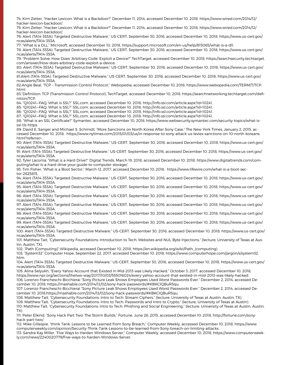74: Kim Zetter, "Hacker Lexicon: What is a Backdoor?" December 11, 2014, accessed December 10, 2018, https://www.wired.com/2014/12/ hacker-lexicon-backdoor/.

75: Kim Zetter, "Hacker Lexicon: What is a Backdoor?" December 11, 2014, accessed December 10, 2018, https://www.wired.com/2014/12/ hacker-lexicon-backdoor/.

76: Alert (TA14-353A): Targeted Destructive Malware," US-CERT, September 30, 2016, accessed December 10, 2018, https://www.us-cert.gov/ ncas/alerts/TA14-353A.

77: "What is a DLL," Microsoft, accessed December 10, 2018, https://support.microsoft.com/en-us/help/815065/what-is-a-dll.

78: Alert (TA14-353A): Targeted Destructive Malware," US-CERT, September 30, 2016, accessed December 10, 2018, https://www.us-cert.gov/ ncas/alerts/TA14-353A.

79: "Problem Solve: How Does 'Arbitrary Code' Exploit a Device?" TechTarget, accessed December 10, 2018, https://searchsecurity.techtarget. com/answer/How-does-arbitrary-code-exploit-a-device.

80: Alert (TA14-353A): Targeted Destructive Malware," US-CERT, September 30, 2016, accessed December 10, 2018, https://www.us-cert.gov/ ncas/alerts/TA14-353A.

81:Alert (TA14-353A): Targeted Destructive Malware," US-CERT, September 30, 2016, accessed December 10, 2018, https://www.us-cert.gov/ ncas/alerts/TA14-353A.

82:Angie Beal, "TCP – Transmission Control Protocol," Webopedia, accessed December 10, 2018, https://www.webopedia.com/TERM/T/TCP. html.

83:"Definition: TCP (Transmission Control Protocol), TechTarget, accessed December 10, 2018, https://searchnetworking.techtarget.com/definition/TCP.

84: "Q10241—FAQ: What is SSL?" SSL.com, accessed December 10, 2018, http://info.ssl.com/article.aspx?id=10241.

85: "Q10241—FAQ: What is SSL?" SSL.com, accessed December 10, 2018, http://info.ssl.com/article.aspx?id=10241.

86: "Q10241—FAQ: What is SSL?" SSL.com, accessed December 10, 2018, http://info.ssl.com/article.aspx?id=10241.

87: "Q10241—FAQ: What is SSL?" SSL.com, accessed December 10, 2018, http://info.ssl.com/article.aspx?id=10241.

88: "What is an SSL Certificate?" Symantec, accessed December 10, 2018, https://www.websecurity.symantec.com/security-topics/what-isssl-tls-https.

89: David E. Sanger and Michael S. Schmidt, "More Sanctions on North Korea After Sony Case," The New York Times, January 2, 2015, accessed December 10, 2018, https://www.nytimes.com/2015/01/03/us/in-response-to-sony-attack-us-levies-sanctions-on-10-north-koreans. html?referrer=.

90: Alert (TA14-353A): Targeted Destructive Malware," US-CERT, September 30, 2016, accessed December 10, 2018, https://www.us-cert.gov/ ncas/alerts/TA14-353A.

91: Alert (TA14-353A): Targeted Destructive Malware," US-CERT, September 30, 2016, accessed December 10, 2018, https://www.us-cert.gov/ ncas/alerts/TA14-353A.

92: Tyler Lacoma, "What is a Hard Drive?" Digital Trends, March 19, 2018, accessed December 10, 2018, https://www.digitaltrends.com/computing/what-is-a-hard-drive-your-guide-to-computer-storage/.

93: Tim Fisher, "What is a Boot Sector," March 12, 2017, accessed December 10, 2018, https://www.lifewire.com/what-is-a-boot-sector-2625815.

94: Alert (TA14-353A): Targeted Destructive Malware," US-CERT, September 30, 2016, accessed December 10, 2018, https://www.us-cert.gov/ ncas/alerts/TA14-353A.

95: Alert (TA14-353A): Targeted Destructive Malware," US-CERT, September 30, 2016, accessed December 10, 2018, https://www.us-cert.gov/ ncas/alerts/TA14-353A.

96: Alert (TA14-353A): Targeted Destructive Malware," US-CERT, September 30, 2016, accessed December 10, 2018, https://www.us-cert.gov/ ncas/alerts/TA14-353A.

97: Alert (TA14-353A): Targeted Destructive Malware," US-CERT, September 30, 2016, accessed December 10, 2018, https://www.us-cert.gov/ ncas/alerts/TA14-353A.

98: Alert (TA14-353A): Targeted Destructive Malware," US-CERT, September 30, 2016, accessed December 10, 2018, https://www.us-cert.gov/ ncas/alerts/TA14-353A.

99: Alert (TA14-353A): Targeted Destructive Malware," US-CERT, September 30, 2016, accessed December 10, 2018, https://www.us-cert.gov/ ncas/alerts/TA14-353A.

100: Alert (TA14-353A): Targeted Destructive Malware," US-CERT, September 30, 2016, accessed December 10, 2018, https://www.us-cert.gov/ ncas/alerts/TA14-353A.

101: Matthew Tait, "Cybersecurity Foundations: Introduction to Tech: Websites and NUL-Byte Injections," (lecture, University of Texas at Austin, Austin, TX).

102: "Path (Computing)" Wikipedia, accessed December 10, 2018, https://en.wikipedia.org/wiki/Path\_(computing)

103: "System32" Computer Hope, September 22, 2017, accessed December 10, 2018, https://www.computerhope.com/jargon/s/system32. htm.

104: Alert (TA14-353A): Targeted Destructive Malware," US-CERT, September 30, 2016, accessed December 10, 2018, https://www.us-cert.gov/ ncas/alerts/TA14-353A.

105: Alina Selyukh, "Every Yahoo Account that Existed in Mid-2013 was Likely Hacked," October 3, 2017, accessed December 10, 2018, https://www.npr.org/sections/thetwo-way/2017/10/03/555016024/every-yahoo-account-that-existed-in-mid-2013-was-likely-hacked. 106: Lorenzo Francheschi-Bicchierai "Sony Picture Leak Shows Employees Used Worst Passwords Ever," December 2, 2014, accessed December 10, 2018, https://mashable.com/2014/12/02/sony-hack-passwords/#KBKClQBuR5qu.

107: Lorenzo Francheschi-Bicchierai "Sony Picture Leak Shows Employees Used Worst Passwords Ever," December 2, 2014, accessed December 10, 2018,https://mashable.com/2014/12/02/sony-hack-passwords/#KBKClQBuR5qu.

108: Matthew Tait, "Cybersecurity Foundations: Intro to Tech: Stream Ciphers," (lecture, University of Texas at Austin, Austin, TX). 109: Matthew Tait, "Cybersecurity Foundations: Intro to Tech: Passwords and Intro to Crypto," (lecture, University of Texas at Austin). 110: Matthew Tait, "Cybersecurity Foundations: Intro to Tech: Phishing and Social Engineering," (lecture, University of Texas at Austin, Austin, TX).

111: Peter Elkind, "Sony Hack Part Two: The Storm Builds," Fortune, June 26, 2015, accessed December 10, 2018, http://fortune.com/sonyhack-part-two/.

112: Mike Gillespie, "think Tank: Lessons to be Learned from Sony Breach," Computer Weekly, accessed December 10, 2018, https://www. computerweekly.com/opinion/Security-Think-Tank-Lessons-to-be-learned-from-Sony-breach-on-limiting-attacks.

113: Sandra Kay Miller, "Five Ways to Harden Windows Server," Computer Weekly, accessed December 10, 2018, https://www.computerweekly.com/news/2240020779/Five-ways-to-harden-Windows-Server.